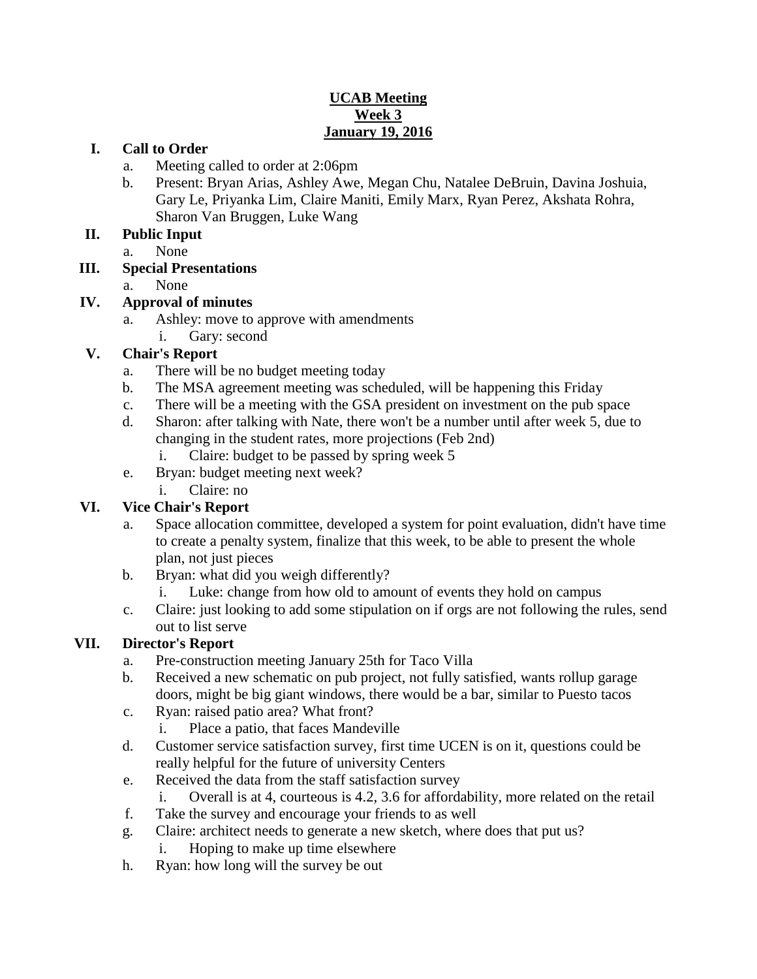#### **UCAB Meeting Week 3 January 19, 2016**

#### **I. Call to Order**

- a. Meeting called to order at 2:06pm
- b. Present: Bryan Arias, Ashley Awe, Megan Chu, Natalee DeBruin, Davina Joshuia, Gary Le, Priyanka Lim, Claire Maniti, Emily Marx, Ryan Perez, Akshata Rohra, Sharon Van Bruggen, Luke Wang

#### **II. Public Input**

a. None

#### **III. Special Presentations**

a. None

## **IV. Approval of minutes**

- a. Ashley: move to approve with amendments
	- i. Gary: second

## **V. Chair's Report**

- a. There will be no budget meeting today
- b. The MSA agreement meeting was scheduled, will be happening this Friday
- c. There will be a meeting with the GSA president on investment on the pub space
- d. Sharon: after talking with Nate, there won't be a number until after week 5, due to changing in the student rates, more projections (Feb 2nd)
	- i. Claire: budget to be passed by spring week 5
- e. Bryan: budget meeting next week?
	- i. Claire: no

## **VI. Vice Chair's Report**

- a. Space allocation committee, developed a system for point evaluation, didn't have time to create a penalty system, finalize that this week, to be able to present the whole plan, not just pieces
- b. Bryan: what did you weigh differently?
	- i. Luke: change from how old to amount of events they hold on campus
- c. Claire: just looking to add some stipulation on if orgs are not following the rules, send out to list serve

## **VII. Director's Report**

- a. Pre-construction meeting January 25th for Taco Villa
- b. Received a new schematic on pub project, not fully satisfied, wants rollup garage doors, might be big giant windows, there would be a bar, similar to Puesto tacos
- c. Ryan: raised patio area? What front?
	- i. Place a patio, that faces Mandeville
- d. Customer service satisfaction survey, first time UCEN is on it, questions could be really helpful for the future of university Centers
- e. Received the data from the staff satisfaction survey
	- i. Overall is at 4, courteous is 4.2, 3.6 for affordability, more related on the retail
- f. Take the survey and encourage your friends to as well
- g. Claire: architect needs to generate a new sketch, where does that put us?
	- i. Hoping to make up time elsewhere
- h. Ryan: how long will the survey be out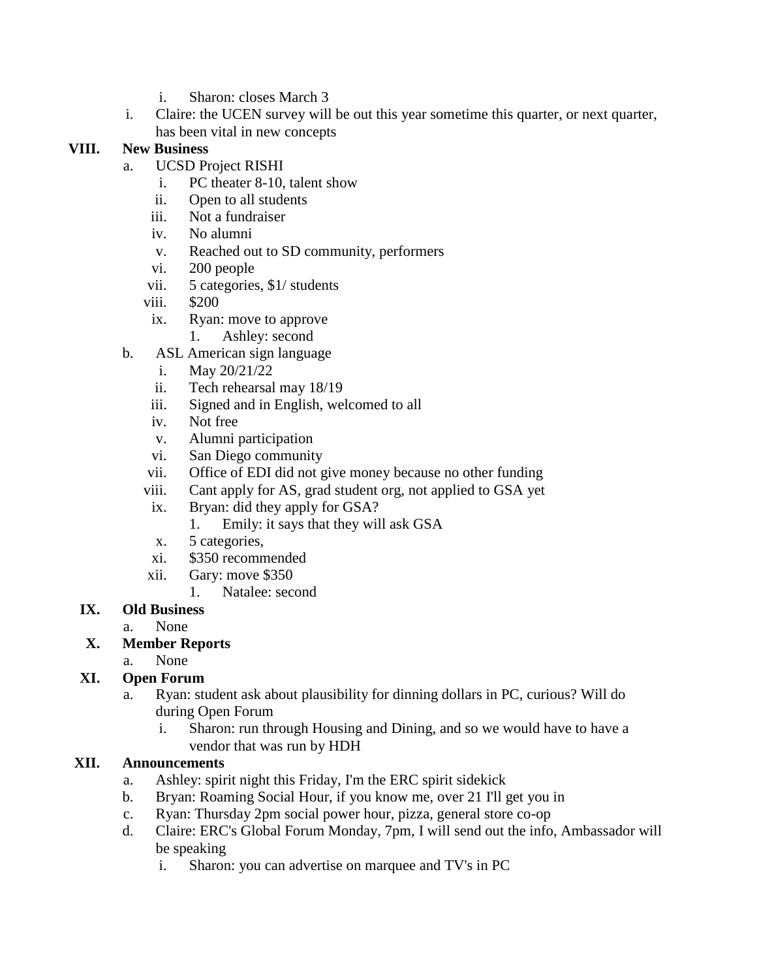- i. Sharon: closes March 3
- i. Claire: the UCEN survey will be out this year sometime this quarter, or next quarter, has been vital in new concepts

#### **VIII. New Business**

- a. UCSD Project RISHI
	- i. PC theater 8-10, talent show
	- ii. Open to all students
	- iii. Not a fundraiser
	- iv. No alumni
	- v. Reached out to SD community, performers
	- vi. 200 people
	- vii. 5 categories, \$1/ students
	- viii. \$200
	- ix. Ryan: move to approve
		- 1. Ashley: second
- b. ASL American sign language
	- i. May 20/21/22
	- ii. Tech rehearsal may 18/19
	- iii. Signed and in English, welcomed to all
	- iv. Not free
	- v. Alumni participation
	- vi. San Diego community
	- vii. Office of EDI did not give money because no other funding
	- viii. Cant apply for AS, grad student org, not applied to GSA yet
	- ix. Bryan: did they apply for GSA?
		- 1. Emily: it says that they will ask GSA
	- x. 5 categories,
	- xi. \$350 recommended
	- xii. Gary: move \$350
		- 1. Natalee: second
- **IX. Old Business**
	- a. None

## **X. Member Reports**

a. None

## **XI. Open Forum**

- a. Ryan: student ask about plausibility for dinning dollars in PC, curious? Will do during Open Forum
	- i. Sharon: run through Housing and Dining, and so we would have to have a vendor that was run by HDH

## **XII. Announcements**

- a. Ashley: spirit night this Friday, I'm the ERC spirit sidekick
- b. Bryan: Roaming Social Hour, if you know me, over 21 I'll get you in
- c. Ryan: Thursday 2pm social power hour, pizza, general store co-op
- d. Claire: ERC's Global Forum Monday, 7pm, I will send out the info, Ambassador will be speaking
	- i. Sharon: you can advertise on marquee and TV's in PC